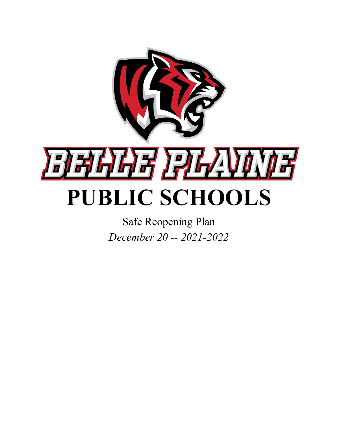

Safe Reopening Plan *December 20 -- 2021-2022*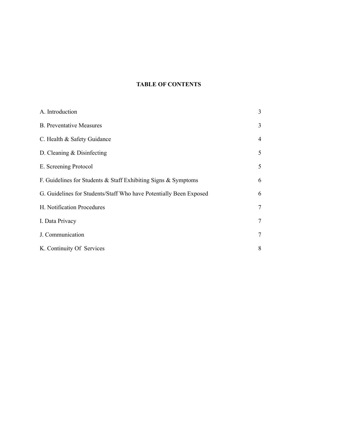# **TABLE OF CONTENTS**

| A. Introduction                                                    | 3              |
|--------------------------------------------------------------------|----------------|
| <b>B.</b> Preventative Measures                                    | 3              |
| C. Health & Safety Guidance                                        | $\overline{4}$ |
| D. Cleaning $&$ Disinfecting                                       | 5              |
| E. Screening Protocol                                              | 5              |
| F. Guidelines for Students & Staff Exhibiting Signs & Symptoms     | 6              |
| G. Guidelines for Students/Staff Who have Potentially Been Exposed | 6              |
| H. Notification Procedures                                         | $\overline{7}$ |
| I. Data Privacy                                                    | 7              |
| J. Communication                                                   | $\overline{7}$ |
| K. Continuity Of Services                                          | 8              |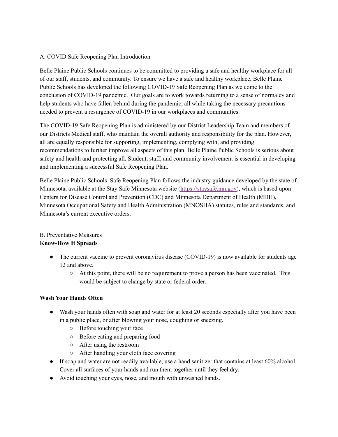### A. COVID Safe Reopening Plan Introduction

Belle Plaine Public Schools continues to be committed to providing a safe and healthy workplace for all of our staff, students, and community. To ensure we have a safe and healthy workplace, Belle Plaine Public Schools has developed the following COVID-19 Safe Reopening Plan as we come to the conclusion of COVID-19 pandemic. Our goals are to work towards returning to a sense of normalcy and help students who have fallen behind during the pandemic, all while taking the necessary precautions needed to prevent a resurgence of COVID-19 in our workplaces and communities.

The COVID-19 Safe Reopening Plan is administered by our District Leadership Team and members of our Districts Medical staff, who maintain the overall authority and responsibility for the plan. However, all are equally responsible for supporting, implementing, complying with, and providing recommendations to further improve all aspects of this plan. Belle Plaine Public Schools is serious about safety and health and protecting all. Student, staff, and community involvement is essential in developing and implementing a successful Safe Reopening Plan.

Belle Plaine Public Schools Safe Reopening Plan follows the industry guidance developed by the state of Minnesota, available at the Stay Safe Minnesota website ([https://staysafe.mn.gov\)](https://staysafe.mn.gov), which is based upon Centers for Disease Control and Prevention (CDC) and Minnesota Department of Health (MDH), Minnesota Occupational Safety and Health Administration (MNOSHA) statutes, rules and standards, and Minnesota's current executive orders.

### B. Preventative Measures

### **Know-How It Spreads**

- The current vaccine to prevent coronavirus disease (COVID-19) is now available for students age 12 and above.
	- At this point, there will be no requirement to prove a person has been vaccinated. This would be subject to change by state or federal order.

### **Wash Your Hands Often**

- Wash your hands often with soap and water for at least 20 seconds especially after you have been in a public place, or after blowing your nose, coughing or sneezing.
	- Before touching your face
	- Before eating and preparing food
	- After using the restroom
	- After handling your cloth face covering
- If soap and water are not readily available, use a hand sanitizer that contains at least 60% alcohol. Cover all surfaces of your hands and run them together until they feel dry.
- Avoid touching your eyes, nose, and mouth with unwashed hands.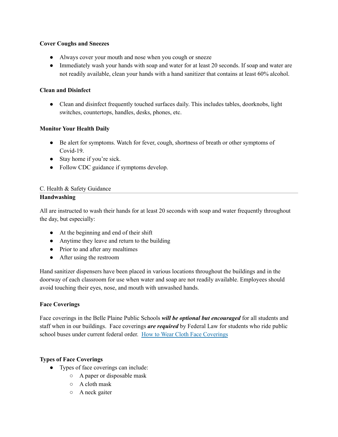### **Cover Coughs and Sneezes**

- Always cover your mouth and nose when you cough or sneeze
- Immediately wash your hands with soap and water for at least 20 seconds. If soap and water are not readily available, clean your hands with a hand sanitizer that contains at least 60% alcohol.

### **Clean and Disinfect**

• Clean and disinfect frequently touched surfaces daily. This includes tables, doorknobs, light switches, countertops, handles, desks, phones, etc.

# **Monitor Your Health Daily**

- Be alert for symptoms. Watch for fever, cough, shortness of breath or other symptoms of Covid-19.
- Stay home if you're sick.
- Follow CDC guidance if symptoms develop.

# C. Health & Safety Guidance

## **Handwashing**

All are instructed to wash their hands for at least 20 seconds with soap and water frequently throughout the day, but especially:

- At the beginning and end of their shift
- Anytime they leave and return to the building
- Prior to and after any mealtimes
- After using the restroom

Hand sanitizer dispensers have been placed in various locations throughout the buildings and in the doorway of each classroom for use when water and soap are not readily available. Employees should avoid touching their eyes, nose, and mouth with unwashed hands.

### **Face Coverings**

Face coverings in the Belle Plaine Public Schools *will be optional but encouraged* for all students and staff when in our buildings. Face coverings *are required* by Federal Law for students who ride public school buses under current federal order. How to Wear Cloth Face [Coverings](https://www.cdc.gov/coronavirus/2019-ncov/prevent-getting-sick/how-to-wear-cloth-face-coverings.html)

### **Types of Face Coverings**

- Types of face coverings can include:
	- A paper or disposable mask
	- A cloth mask
	- A neck gaiter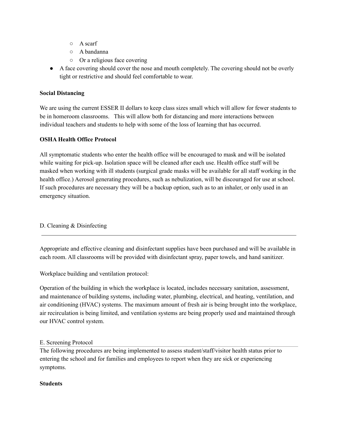- A scarf
- A bandanna
- Or a religious face covering
- A face covering should cover the nose and mouth completely. The covering should not be overly tight or restrictive and should feel comfortable to wear.

### **Social Distancing**

We are using the current ESSER II dollars to keep class sizes small which will allow for fewer students to be in homeroom classrooms. This will allow both for distancing and more interactions between individual teachers and students to help with some of the loss of learning that has occurred.

### **OSHA Health Office Protocol**

All symptomatic students who enter the health office will be encouraged to mask and will be isolated while waiting for pick-up. Isolation space will be cleaned after each use. Health office staff will be masked when working with ill students (surgical grade masks will be available for all staff working in the health office.) Aerosol generating procedures, such as nebulization, will be discouraged for use at school. If such procedures are necessary they will be a backup option, such as to an inhaler, or only used in an emergency situation.

#### D. Cleaning & Disinfecting

Appropriate and effective cleaning and disinfectant supplies have been purchased and will be available in each room. All classrooms will be provided with disinfectant spray, paper towels, and hand sanitizer.

Workplace building and ventilation protocol:

Operation of the building in which the workplace is located, includes necessary sanitation, assessment, and maintenance of building systems, including water, plumbing, electrical, and heating, ventilation, and air conditioning (HVAC) systems. The maximum amount of fresh air is being brought into the workplace, air recirculation is being limited, and ventilation systems are being properly used and maintained through our HVAC control system.

#### E. Screening Protocol

The following procedures are being implemented to assess student/staff/visitor health status prior to entering the school and for families and employees to report when they are sick or experiencing symptoms.

#### **Students**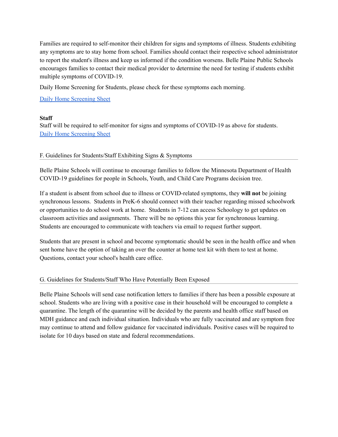Families are required to self-monitor their children for signs and symptoms of illness. Students exhibiting any symptoms are to stay home from school. Families should contact their respective school administrator to report the student's illness and keep us informed if the condition worsens. Belle Plaine Public Schools encourages families to contact their medical provider to determine the need for testing if students exhibit multiple symptoms of COVID-19.

Daily Home Screening for Students, please check for these symptoms each morning.

Daily Home [Screening](https://drive.google.com/file/d/1YG6Df0FWyDm1ZJrQHTjzZU5Z0dUmSW_i/view) Sheet

### **Staff**

Staff will be required to self-monitor for signs and symptoms of COVID-19 as above for students. Daily Home [Screening](https://drive.google.com/file/d/1YG6Df0FWyDm1ZJrQHTjzZU5Z0dUmSW_i/view) Sheet

F. Guidelines for Students/Staff Exhibiting Signs & Symptoms

Belle Plaine Schools will continue to encourage families to follow the Minnesota Department of Health COVID-19 guidelines for people in Schools, Youth, and Child Care Programs decision tree.

If a student is absent from school due to illness or COVID-related symptoms, they **will not** be joining synchronous lessons. Students in PreK-6 should connect with their teacher regarding missed schoolwork or opportunities to do school work at home. Students in 7-12 can access Schoology to get updates on classroom activities and assignments. There will be no options this year for synchronous learning. Students are encouraged to communicate with teachers via email to request further support.

Students that are present in school and become symptomatic should be seen in the health office and when sent home have the option of taking an over the counter at home test kit with them to test at home. Questions, contact your school's health care office.

### G. Guidelines for Students/Staff Who Have Potentially Been Exposed

Belle Plaine Schools will send case notification letters to families if there has been a possible exposure at school. Students who are living with a positive case in their household will be encouraged to complete a quarantine. The length of the quarantine will be decided by the parents and health office staff based on MDH guidance and each individual situation. Individuals who are fully vaccinated and are symptom free may continue to attend and follow guidance for vaccinated individuals. Positive cases will be required to isolate for 10 days based on state and federal recommendations.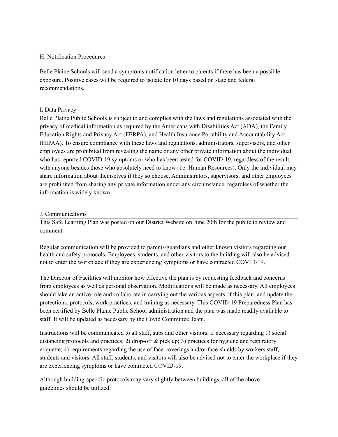#### H. Notification Procedures

Belle Plaine Schools will send a symptoms notification letter to parents if there has been a possible exposure. Positive cases will be required to isolate for 10 days based on state and federal recommendations.

#### I. Data Privacy

Belle Plaine Public Schools is subject to and complies with the laws and regulations associated with the privacy of medical information as required by the Americans with Disabilities Act (ADA), the Family Education Rights and Privacy Act (FERPA), and Health Insurance Portability and Accountability Act (HIPAA). To ensure compliance with these laws and regulations, administrators, supervisors, and other employees are prohibited from revealing the name or any other private information about the individual who has reported COVID-19 symptoms or who has been tested for COVID-19, regardless of the result, with anyone besides those who absolutely need to know (i.e. Human Resources). Only the individual may share information about themselves if they so choose. Administrators, supervisors, and other employees are prohibited from sharing any private information under any circumstance, regardless of whether the information is widely known.

#### J. Communications

This Safe Learning Plan was posted on our District Website on June 20th for the public to review and comment.

Regular communication will be provided to parents/guardians and other known visitors regarding our health and safety protocols. Employees, students, and other visitors to the building will also be advised not to enter the workplace if they are experiencing symptoms or have contracted COVID-19.

The Director of Facilities will monitor how effective the plan is by requesting feedback and concerns from employees as well as personal observation. Modifications will be made as necessary. All employees should take an active role and collaborate in carrying out the various aspects of this plan, and update the protections, protocols, work practices, and training as necessary. This COVID-19 Preparedness Plan has been certified by Belle Plaine Public School administration and the plan was made readily available to staff. It will be updated as necessary by the Covid Committee Team.

Instructions will be communicated to all staff, subs and other visitors, if necessary regarding 1) social distancing protocols and practices; 2) drop-off  $\&$  pick up; 3) practices for hygiene and respiratory etiquette; 4) requirements regarding the use of face-coverings and/or face-shields by workers staff, students and visitors. All staff, students, and visitors will also be advised not to enter the workplace if they are experiencing symptoms or have contracted COVID-19.

Although building-specific protocols may vary slightly between buildings, all of the above guidelines should be utilized.